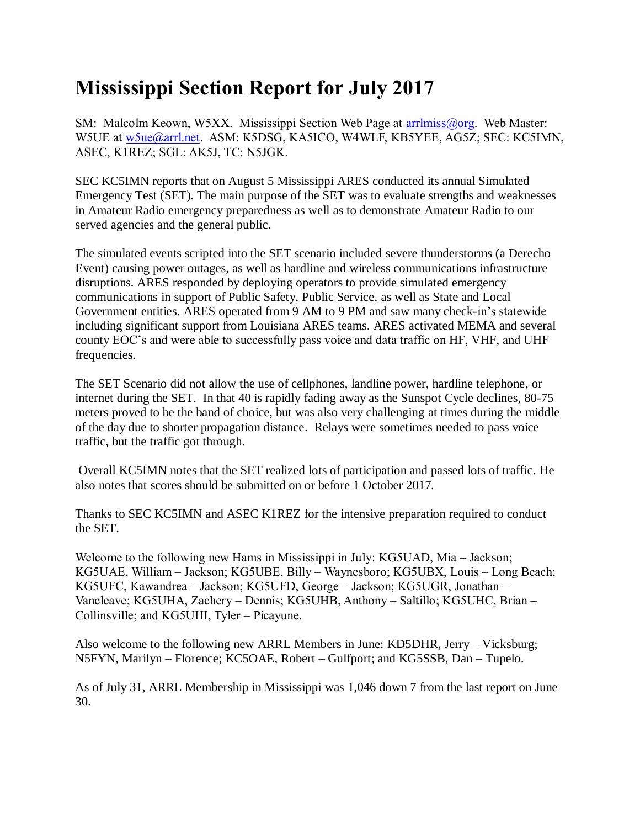## **Mississippi Section Report for July 2017**

SM: Malcolm Keown, W5XX. Mississippi Section Web Page at [arrlmiss@org.](mailto:arrlmiss@org) Web Master: W5UE at [w5ue@arrl.net.](mailto:w5ue@arrl.net) ASM: K5DSG, KA5ICO, W4WLF, KB5YEE, AG5Z; SEC: KC5IMN, ASEC, K1REZ; SGL: AK5J, TC: N5JGK.

SEC KC5IMN reports that on August 5 Mississippi ARES conducted its annual Simulated Emergency Test (SET). The main purpose of the SET was to evaluate strengths and weaknesses in Amateur Radio emergency preparedness as well as to demonstrate Amateur Radio to our served agencies and the general public.

The simulated events scripted into the SET scenario included severe thunderstorms (a Derecho Event) causing power outages, as well as hardline and wireless communications infrastructure disruptions. ARES responded by deploying operators to provide simulated emergency communications in support of Public Safety, Public Service, as well as State and Local Government entities. ARES operated from 9 AM to 9 PM and saw many check-in's statewide including significant support from Louisiana ARES teams. ARES activated MEMA and several county EOC's and were able to successfully pass voice and data traffic on HF, VHF, and UHF frequencies.

The SET Scenario did not allow the use of cellphones, landline power, hardline telephone, or internet during the SET. In that 40 is rapidly fading away as the Sunspot Cycle declines, 80-75 meters proved to be the band of choice, but was also very challenging at times during the middle of the day due to shorter propagation distance. Relays were sometimes needed to pass voice traffic, but the traffic got through.

Overall KC5IMN notes that the SET realized lots of participation and passed lots of traffic. He also notes that scores should be submitted on or before 1 October 2017.

Thanks to SEC KC5IMN and ASEC K1REZ for the intensive preparation required to conduct the SET.

Welcome to the following new Hams in Mississippi in July: KG5UAD, Mia – Jackson; KG5UAE, William – Jackson; KG5UBE, Billy – Waynesboro; KG5UBX, Louis – Long Beach; KG5UFC, Kawandrea – Jackson; KG5UFD, George – Jackson; KG5UGR, Jonathan – Vancleave; KG5UHA, Zachery – Dennis; KG5UHB, Anthony – Saltillo; KG5UHC, Brian – Collinsville; and KG5UHI, Tyler – Picayune.

Also welcome to the following new ARRL Members in June: KD5DHR, Jerry – Vicksburg; N5FYN, Marilyn – Florence; KC5OAE, Robert – Gulfport; and KG5SSB, Dan – Tupelo.

As of July 31, ARRL Membership in Mississippi was 1,046 down 7 from the last report on June 30.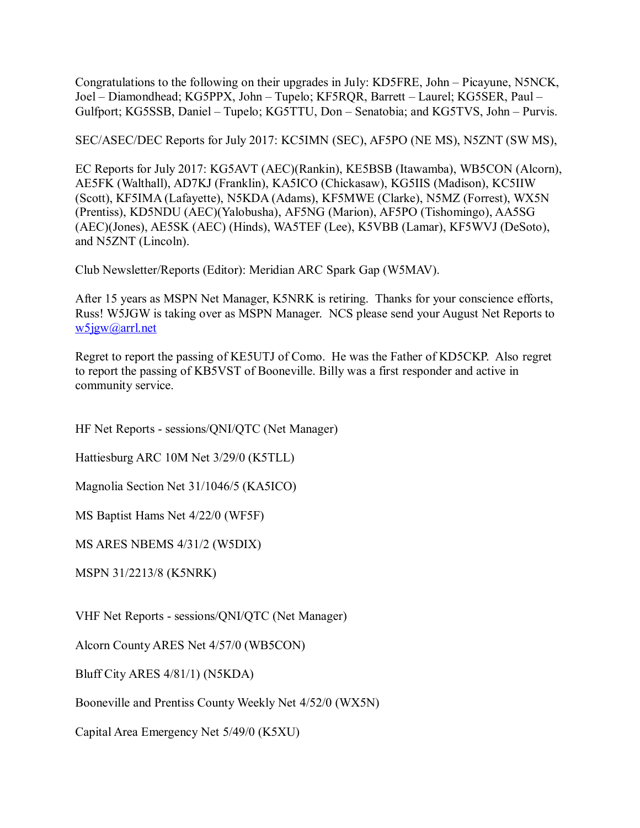Congratulations to the following on their upgrades in July: KD5FRE, John – Picayune, N5NCK, Joel – Diamondhead; KG5PPX, John – Tupelo; KF5RQR, Barrett – Laurel; KG5SER, Paul – Gulfport; KG5SSB, Daniel – Tupelo; KG5TTU, Don – Senatobia; and KG5TVS, John – Purvis.

SEC/ASEC/DEC Reports for July 2017: KC5IMN (SEC), AF5PO (NE MS), N5ZNT (SW MS),

EC Reports for July 2017: KG5AVT (AEC)(Rankin), KE5BSB (Itawamba), WB5CON (Alcorn), AE5FK (Walthall), AD7KJ (Franklin), KA5ICO (Chickasaw), KG5IIS (Madison), KC5IIW (Scott), KF5IMA (Lafayette), N5KDA (Adams), KF5MWE (Clarke), N5MZ (Forrest), WX5N (Prentiss), KD5NDU (AEC)(Yalobusha), AF5NG (Marion), AF5PO (Tishomingo), AA5SG (AEC)(Jones), AE5SK (AEC) (Hinds), WA5TEF (Lee), K5VBB (Lamar), KF5WVJ (DeSoto), and N5ZNT (Lincoln).

Club Newsletter/Reports (Editor): Meridian ARC Spark Gap (W5MAV).

After 15 years as MSPN Net Manager, K5NRK is retiring. Thanks for your conscience efforts, Russ! W5JGW is taking over as MSPN Manager. NCS please send your August Net Reports to [w5jgw@arrl.net](mailto:w5jgw@arrl.net)

Regret to report the passing of KE5UTJ of Como. He was the Father of KD5CKP. Also regret to report the passing of KB5VST of Booneville. Billy was a first responder and active in community service.

HF Net Reports - sessions/QNI/QTC (Net Manager)

Hattiesburg ARC 10M Net 3/29/0 (K5TLL)

Magnolia Section Net 31/1046/5 (KA5ICO)

MS Baptist Hams Net 4/22/0 (WF5F)

MS ARES NBEMS 4/31/2 (W5DIX)

MSPN 31/2213/8 (K5NRK)

VHF Net Reports - sessions/QNI/QTC (Net Manager)

Alcorn County ARES Net 4/57/0 (WB5CON)

Bluff City ARES 4/81/1) (N5KDA)

Booneville and Prentiss County Weekly Net 4/52/0 (WX5N)

Capital Area Emergency Net 5/49/0 (K5XU)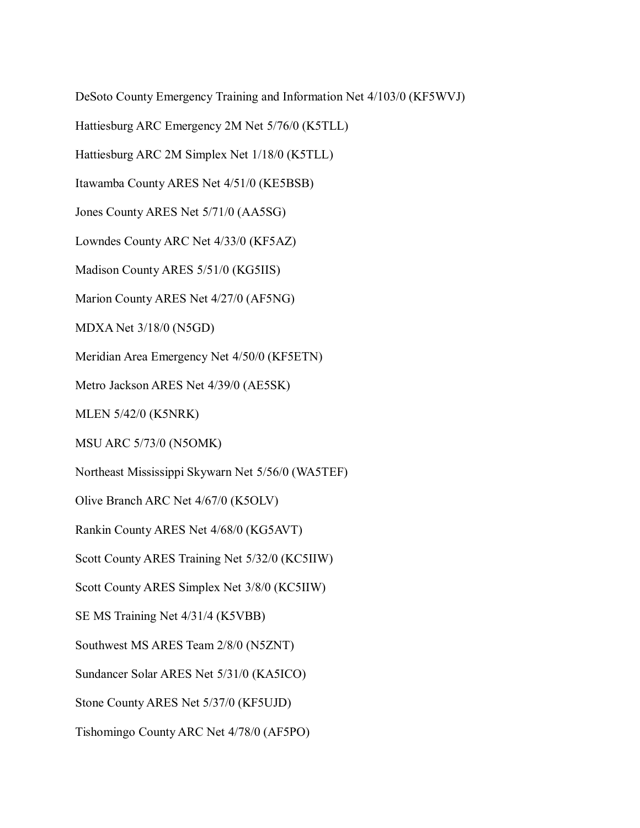DeSoto County Emergency Training and Information Net 4/103/0 (KF5WVJ)

Hattiesburg ARC Emergency 2M Net 5/76/0 (K5TLL)

Hattiesburg ARC 2M Simplex Net 1/18/0 (K5TLL)

Itawamba County ARES Net 4/51/0 (KE5BSB)

Jones County ARES Net 5/71/0 (AA5SG)

Lowndes County ARC Net 4/33/0 (KF5AZ)

Madison County ARES 5/51/0 (KG5IIS)

Marion County ARES Net 4/27/0 (AF5NG)

MDXA Net 3/18/0 (N5GD)

Meridian Area Emergency Net 4/50/0 (KF5ETN)

Metro Jackson ARES Net 4/39/0 (AE5SK)

MLEN 5/42/0 (K5NRK)

MSU ARC 5/73/0 (N5OMK)

Northeast Mississippi Skywarn Net 5/56/0 (WA5TEF)

Olive Branch ARC Net 4/67/0 (K5OLV)

Rankin County ARES Net 4/68/0 (KG5AVT)

Scott County ARES Training Net 5/32/0 (KC5IIW)

Scott County ARES Simplex Net 3/8/0 (KC5IIW)

SE MS Training Net 4/31/4 (K5VBB)

Southwest MS ARES Team 2/8/0 (N5ZNT)

Sundancer Solar ARES Net 5/31/0 (KA5ICO)

Stone County ARES Net 5/37/0 (KF5UJD)

Tishomingo County ARC Net 4/78/0 (AF5PO)